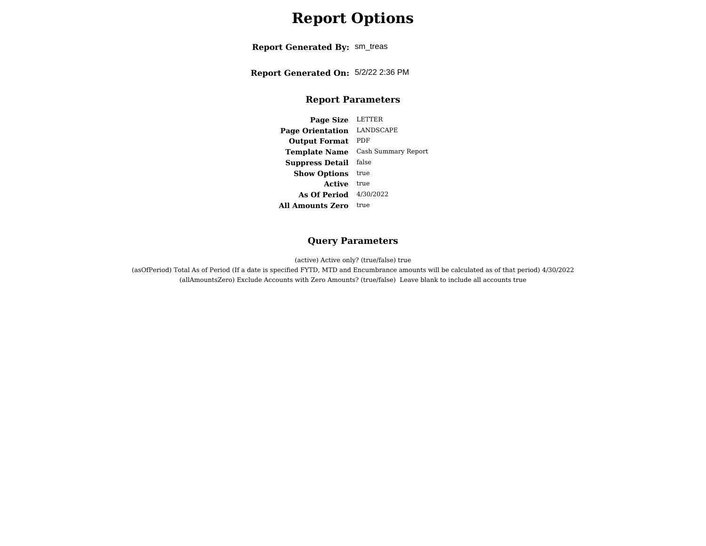# **Report Options**

**Report Generated By:** sm\_treas

**Report Generated On:** 5/2/22 2:36 PM

#### **Report Parameters**

**Page Size** LETTER **Page Orientation** LANDSCAPE **Output Format** PDF **Template Name** Cash Summary Report **Suppress Detail** false**Show Options** true **Active** true **As Of Period** 4/30/2022 **All Amounts Zero** true

#### **Query Parameters**

(active) Active only? (true/false) true

 (asOfPeriod) Total As of Period (If a date is specified FYTD, MTD and Encumbrance amounts will be calculated as of that period) 4/30/2022(allAmountsZero) Exclude Accounts with Zero Amounts? (true/false) Leave blank to include all accounts true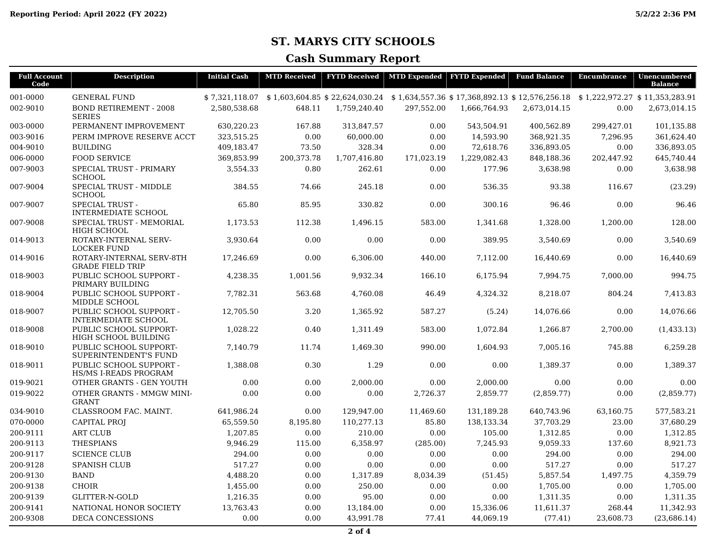### **ST. MARYS CITY SCHOOLS**

#### **Cash Summary Report**

| <b>Full Account</b> | <b>Description</b>                                    | <b>Initial Cash</b> | <b>MTD Received</b> |              | <b>FYTD Received   MTD Expended   FYTD Expended</b> |                                                                                                                             | <b>Fund Balance</b> | Encumbrance | Unencumbered   |
|---------------------|-------------------------------------------------------|---------------------|---------------------|--------------|-----------------------------------------------------|-----------------------------------------------------------------------------------------------------------------------------|---------------------|-------------|----------------|
| Code                |                                                       |                     |                     |              |                                                     |                                                                                                                             |                     |             | <b>Balance</b> |
| 001-0000            | <b>GENERAL FUND</b>                                   |                     |                     |              |                                                     | \$7,321,118.07 \$1,603,604.85 \$22,624,030.24 \$1,634,557.36 \$17,368,892.13 \$12,576,256.18 \$1,222,972.27 \$11,353,283.91 |                     |             |                |
| 002-9010            | <b>BOND RETIREMENT - 2008</b><br><b>SERIES</b>        | 2,580,538.68        | 648.11              | 1,759,240.40 | 297,552.00                                          | 1,666,764.93                                                                                                                | 2,673,014.15        | 0.00        | 2,673,014.15   |
| 003-0000            | PERMANENT IMPROVEMENT                                 | 630,220.23          | 167.88              | 313.847.57   | 0.00                                                | 543,504.91                                                                                                                  | 400,562.89          | 299,427.01  | 101,135.88     |
| 003-9016            | PERM IMPROVE RESERVE ACCT                             | 323,515.25          | 0.00                | 60,000.00    | 0.00                                                | 14,593.90                                                                                                                   | 368,921.35          | 7,296.95    | 361,624.40     |
| 004-9010            | <b>BUILDING</b>                                       | 409,183.47          | 73.50               | 328.34       | 0.00                                                | 72,618.76                                                                                                                   | 336,893.05          | 0.00        | 336,893.05     |
| 006-0000            | <b>FOOD SERVICE</b>                                   | 369,853.99          | 200,373.78          | 1,707,416.80 | 171,023.19                                          | 1,229,082.43                                                                                                                | 848,188.36          | 202,447.92  | 645,740.44     |
| 007-9003            | <b>SPECIAL TRUST - PRIMARY</b><br><b>SCHOOL</b>       | 3,554.33            | 0.80                | 262.61       | 0.00                                                | 177.96                                                                                                                      | 3,638.98            | 0.00        | 3,638.98       |
| 007-9004            | SPECIAL TRUST - MIDDLE<br><b>SCHOOL</b>               | 384.55              | 74.66               | 245.18       | 0.00                                                | 536.35                                                                                                                      | 93.38               | 116.67      | (23.29)        |
| 007-9007            | <b>SPECIAL TRUST -</b><br><b>INTERMEDIATE SCHOOL</b>  | 65.80               | 85.95               | 330.82       | 0.00                                                | 300.16                                                                                                                      | 96.46               | 0.00        | 96.46          |
| 007-9008            | SPECIAL TRUST - MEMORIAL<br><b>HIGH SCHOOL</b>        | 1,173.53            | 112.38              | 1,496.15     | 583.00                                              | 1,341.68                                                                                                                    | 1,328.00            | 1,200.00    | 128.00         |
| 014-9013            | ROTARY-INTERNAL SERV-<br><b>LOCKER FUND</b>           | 3,930.64            | 0.00                | 0.00         | 0.00                                                | 389.95                                                                                                                      | 3,540.69            | 0.00        | 3,540.69       |
| 014-9016            | ROTARY-INTERNAL SERV-8TH<br><b>GRADE FIELD TRIP</b>   | 17.246.69           | 0.00                | 6,306.00     | 440.00                                              | 7.112.00                                                                                                                    | 16,440.69           | 0.00        | 16,440.69      |
| 018-9003            | PUBLIC SCHOOL SUPPORT -<br>PRIMARY BUILDING           | 4,238.35            | 1,001.56            | 9,932.34     | 166.10                                              | 6,175.94                                                                                                                    | 7,994.75            | 7,000.00    | 994.75         |
| 018-9004            | PUBLIC SCHOOL SUPPORT -<br>MIDDLE SCHOOL              | 7,782.31            | 563.68              | 4,760.08     | 46.49                                               | 4,324.32                                                                                                                    | 8,218.07            | 804.24      | 7,413.83       |
| 018-9007            | PUBLIC SCHOOL SUPPORT -<br><b>INTERMEDIATE SCHOOL</b> | 12,705.50           | 3.20                | 1,365.92     | 587.27                                              | (5.24)                                                                                                                      | 14,076.66           | 0.00        | 14,076.66      |
| 018-9008            | PUBLIC SCHOOL SUPPORT-<br>HIGH SCHOOL BUILDING        | 1,028.22            | 0.40                | 1,311.49     | 583.00                                              | 1,072.84                                                                                                                    | 1,266.87            | 2,700.00    | (1, 433.13)    |
| 018-9010            | PUBLIC SCHOOL SUPPORT-<br>SUPERINTENDENT'S FUND       | 7.140.79            | 11.74               | 1,469.30     | 990.00                                              | 1,604.93                                                                                                                    | 7.005.16            | 745.88      | 6,259.28       |
| 018-9011            | PUBLIC SCHOOL SUPPORT -<br>HS/MS I-READS PROGRAM      | 1,388.08            | 0.30                | 1.29         | 0.00                                                | 0.00                                                                                                                        | 1,389.37            | 0.00        | 1,389.37       |
| 019-9021            | OTHER GRANTS - GEN YOUTH                              | 0.00                | 0.00                | 2,000.00     | 0.00                                                | 2,000.00                                                                                                                    | 0.00                | 0.00        | 0.00           |
| 019-9022            | <b>OTHER GRANTS - MMGW MINI-</b><br><b>GRANT</b>      | 0.00                | 0.00                | 0.00         | 2,726.37                                            | 2,859.77                                                                                                                    | (2,859.77)          | 0.00        | (2,859.77)     |
| 034-9010            | CLASSROOM FAC. MAINT.                                 | 641,986.24          | 0.00                | 129,947.00   | 11,469.60                                           | 131,189.28                                                                                                                  | 640,743.96          | 63,160.75   | 577,583.21     |
| 070-0000            | <b>CAPITAL PROJ</b>                                   | 65,559.50           | 8,195.80            | 110,277.13   | 85.80                                               | 138,133.34                                                                                                                  | 37,703.29           | 23.00       | 37,680.29      |
| 200-9111            | <b>ART CLUB</b>                                       | 1,207.85            | 0.00                | 210.00       | 0.00                                                | 105.00                                                                                                                      | 1,312.85            | 0.00        | 1,312.85       |
| 200-9113            | <b>THESPIANS</b>                                      | 9,946.29            | 115.00              | 6,358.97     | (285.00)                                            | 7,245.93                                                                                                                    | 9,059.33            | 137.60      | 8,921.73       |
| 200-9117            | <b>SCIENCE CLUB</b>                                   | 294.00              | 0.00                | 0.00         | 0.00                                                | 0.00                                                                                                                        | 294.00              | 0.00        | 294.00         |
| 200-9128            | <b>SPANISH CLUB</b>                                   | 517.27              | 0.00                | 0.00         | 0.00                                                | 0.00                                                                                                                        | 517.27              | 0.00        | 517.27         |
| 200-9130            | <b>BAND</b>                                           | 4,488.20            | 0.00                | 1,317.89     | 8,034.39                                            | (51.45)                                                                                                                     | 5,857.54            | 1,497.75    | 4,359.79       |
| 200-9138            | <b>CHOIR</b>                                          | 1,455.00            | 0.00                | 250.00       | 0.00                                                | 0.00                                                                                                                        | 1,705.00            | 0.00        | 1,705.00       |
| 200-9139            | <b>GLITTER-N-GOLD</b>                                 | 1,216.35            | 0.00                | 95.00        | 0.00                                                | 0.00                                                                                                                        | 1,311.35            | 0.00        | 1,311.35       |
| 200-9141            | NATIONAL HONOR SOCIETY                                | 13,763.43           | 0.00                | 13,184.00    | 0.00                                                | 15,336.06                                                                                                                   | 11,611.37           | 268.44      | 11,342.93      |
| 200-9308            | <b>DECA CONCESSIONS</b>                               | 0.00                | 0.00                | 43,991.78    | 77.41                                               | 44,069.19                                                                                                                   | (77.41)             | 23,608.73   | (23,686.14)    |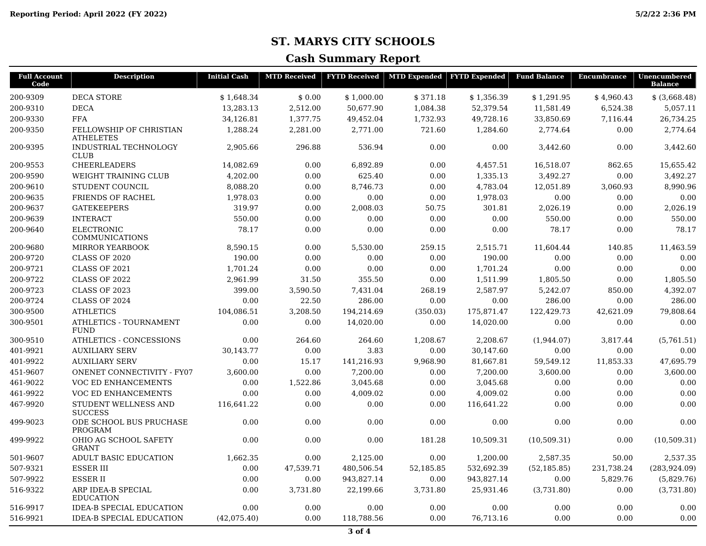### **ST. MARYS CITY SCHOOLS**

#### **Cash Summary Report**

| <b>Full Account</b><br>Code | <b>Description</b>                           | <b>Initial Cash</b> | <b>MTD Received</b> | <b>FYTD Received</b> |           | MTD Expended   FYTD Expended | <b>Fund Balance</b> | Encumbrance | Unencumbered<br><b>Balance</b> |
|-----------------------------|----------------------------------------------|---------------------|---------------------|----------------------|-----------|------------------------------|---------------------|-------------|--------------------------------|
| 200-9309                    | <b>DECA STORE</b>                            | \$1,648.34          | \$0.00              | \$1,000.00           | \$371.18  | \$1,356.39                   | \$1,291.95          | \$4,960.43  | $$$ $(3,668.48)$               |
| 200-9310                    | <b>DECA</b>                                  | 13,283.13           | 2,512.00            | 50,677.90            | 1,084.38  | 52,379.54                    | 11,581.49           | 6,524.38    | 5,057.11                       |
| 200-9330                    | <b>FFA</b>                                   | 34,126.81           | 1,377.75            | 49,452.04            | 1,732.93  | 49,728.16                    | 33,850.69           | 7,116.44    | 26,734.25                      |
| 200-9350                    | FELLOWSHIP OF CHRISTIAN<br><b>ATHELETES</b>  | 1,288.24            | 2,281.00            | 2,771.00             | 721.60    | 1,284.60                     | 2,774.64            | 0.00        | 2,774.64                       |
| 200-9395                    | <b>INDUSTRIAL TECHNOLOGY</b><br><b>CLUB</b>  | 2,905.66            | 296.88              | 536.94               | 0.00      | 0.00                         | 3,442.60            | 0.00        | 3,442.60                       |
| 200-9553                    | <b>CHEERLEADERS</b>                          | 14,082.69           | 0.00                | 6,892.89             | 0.00      | 4,457.51                     | 16,518.07           | 862.65      | 15,655.42                      |
| 200-9590                    | <b>WEIGHT TRAINING CLUB</b>                  | 4,202.00            | 0.00                | 625.40               | 0.00      | 1,335.13                     | 3,492.27            | 0.00        | 3,492.27                       |
| 200-9610                    | STUDENT COUNCIL                              | 8,088.20            | 0.00                | 8,746.73             | 0.00      | 4,783.04                     | 12,051.89           | 3,060.93    | 8,990.96                       |
| 200-9635                    | <b>FRIENDS OF RACHEL</b>                     | 1,978.03            | 0.00                | 0.00                 | 0.00      | 1,978.03                     | 0.00                | 0.00        | 0.00                           |
| 200-9637                    | <b>GATEKEEPERS</b>                           | 319.97              | 0.00                | 2,008.03             | 50.75     | 301.81                       | 2,026.19            | 0.00        | 2,026.19                       |
| 200-9639                    | <b>INTERACT</b>                              | 550.00              | 0.00                | 0.00                 | 0.00      | 0.00                         | 550.00              | 0.00        | 550.00                         |
| 200-9640                    | <b>ELECTRONIC</b><br>COMMUNICATIONS          | 78.17               | 0.00                | 0.00                 | 0.00      | 0.00                         | 78.17               | 0.00        | 78.17                          |
| 200-9680                    | <b>MIRROR YEARBOOK</b>                       | 8,590.15            | 0.00                | 5,530.00             | 259.15    | 2,515.71                     | 11,604.44           | 140.85      | 11,463.59                      |
| 200-9720                    | <b>CLASS OF 2020</b>                         | 190.00              | 0.00                | 0.00                 | 0.00      | 190.00                       | 0.00                | 0.00        | 0.00                           |
| 200-9721                    | CLASS OF 2021                                | 1,701.24            | 0.00                | 0.00                 | 0.00      | 1,701.24                     | 0.00                | 0.00        | 0.00                           |
| 200-9722                    | <b>CLASS OF 2022</b>                         | 2,961.99            | 31.50               | 355.50               | 0.00      | 1,511.99                     | 1,805.50            | 0.00        | 1,805.50                       |
| 200-9723                    | <b>CLASS OF 2023</b>                         | 399.00              | 3,590.50            | 7,431.04             | 268.19    | 2,587.97                     | 5,242.07            | 850.00      | 4,392.07                       |
| 200-9724                    | <b>CLASS OF 2024</b>                         | 0.00                | 22.50               | 286.00               | 0.00      | 0.00                         | 286.00              | 0.00        | 286.00                         |
| 300-9500                    | <b>ATHLETICS</b>                             | 104,086.51          | 3,208.50            | 194,214.69           | (350.03)  | 175,871.47                   | 122,429.73          | 42,621.09   | 79,808.64                      |
| 300-9501                    | <b>ATHLETICS - TOURNAMENT</b><br><b>FUND</b> | 0.00                | 0.00                | 14,020.00            | 0.00      | 14,020.00                    | 0.00                | 0.00        | 0.00                           |
| 300-9510                    | ATHLETICS - CONCESSIONS                      | 0.00                | 264.60              | 264.60               | 1,208.67  | 2,208.67                     | (1,944.07)          | 3,817.44    | (5,761.51)                     |
| 401-9921                    | <b>AUXILIARY SERV</b>                        | 30,143.77           | 0.00                | 3.83                 | 0.00      | 30,147.60                    | 0.00                | 0.00        | 0.00                           |
| 401-9922                    | <b>AUXILIARY SERV</b>                        | 0.00                | 15.17               | 141,216.93           | 9,968.90  | 81,667.81                    | 59,549.12           | 11,853.33   | 47,695.79                      |
| 451-9607                    | <b>ONENET CONNECTIVITY - FY07</b>            | 3,600.00            | 0.00                | 7,200.00             | 0.00      | 7,200.00                     | 3,600.00            | 0.00        | 3,600.00                       |
| 461-9022                    | VOC ED ENHANCEMENTS                          | 0.00                | 1,522.86            | 3,045.68             | 0.00      | 3,045.68                     | 0.00                | 0.00        | 0.00                           |
| 461-9922                    | VOC ED ENHANCEMENTS                          | 0.00                | 0.00                | 4,009.02             | 0.00      | 4,009.02                     | 0.00                | 0.00        | 0.00                           |
| 467-9920                    | STUDENT WELLNESS AND<br><b>SUCCESS</b>       | 116,641.22          | 0.00                | 0.00                 | 0.00      | 116,641.22                   | 0.00                | 0.00        | 0.00                           |
| 499-9023                    | ODE SCHOOL BUS PRUCHASE<br><b>PROGRAM</b>    | 0.00                | 0.00                | 0.00                 | 0.00      | 0.00                         | 0.00                | 0.00        | 0.00                           |
| 499-9922                    | OHIO AG SCHOOL SAFETY<br><b>GRANT</b>        | 0.00                | 0.00                | 0.00                 | 181.28    | 10,509.31                    | (10,509.31)         | 0.00        | (10,509.31)                    |
| 501-9607                    | ADULT BASIC EDUCATION                        | 1,662.35            | 0.00                | 2,125.00             | 0.00      | 1.200.00                     | 2,587.35            | 50.00       | 2,537.35                       |
| 507-9321                    | <b>ESSER III</b>                             | 0.00                | 47,539.71           | 480,506.54           | 52,185.85 | 532,692.39                   | (52, 185.85)        | 231,738.24  | (283, 924.09)                  |
| 507-9922                    | <b>ESSERII</b>                               | 0.00                | 0.00                | 943,827.14           | 0.00      | 943,827.14                   | 0.00                | 5,829.76    | (5,829.76)                     |
| 516-9322                    | ARP IDEA-B SPECIAL<br><b>EDUCATION</b>       | 0.00                | 3,731.80            | 22,199.66            | 3,731.80  | 25,931.46                    | (3,731.80)          | 0.00        | (3,731.80)                     |
| 516-9917                    | <b>IDEA-B SPECIAL EDUCATION</b>              | 0.00                | 0.00                | 0.00                 | 0.00      | 0.00                         | 0.00                | 0.00        | 0.00                           |
| 516-9921                    | <b>IDEA-B SPECIAL EDUCATION</b>              | (42,075,40)         | 0.00                | 118,788.56           | 0.00      | 76,713.16                    | 0.00                | 0.00        | 0.00                           |